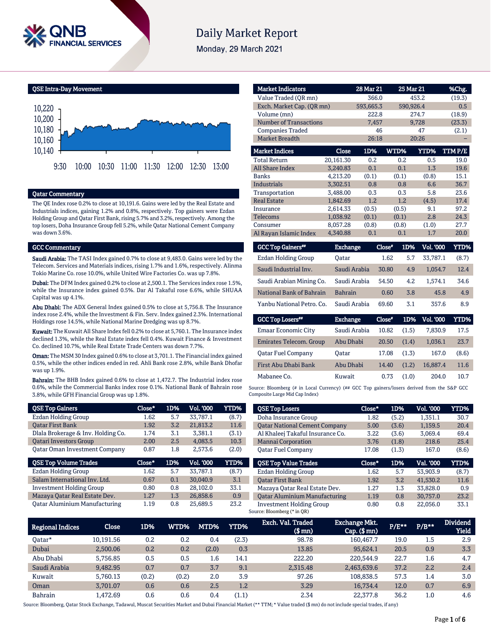

# **Daily Market Report**

Monday, 29 March 2021

QSE Intra-Day Movement



#### Qatar Commentary

The QE Index rose 0.2% to close at 10,191.6. Gains were led by the Real Estate and Industrials indices, gaining 1.2% and 0.8%, respectively. Top gainers were Ezdan Holding Group and Qatar First Bank, rising 5.7% and 3.2%, respectively. Among the top losers, Doha Insurance Group fell 5.2%, while Qatar National Cement Company was down 3.6%.

#### GCC Commentary

Saudi Arabia: The TASI Index gained 0.7% to close at 9,483.0. Gains were led by the Telecom. Services and Materials indices, rising 1.7% and 1.6%, respectively. Alinma Tokio Marine Co. rose 10.0%, while United Wire Factories Co. was up 7.8%.

Dubai: The DFM Index gained 0.2% to close at 2,500.1. The Services index rose 1.5%, while the Insurance index gained 0.5%. Dar Al Takaful rose 6.6%, while SHUAA Capital was up 4.1%.

Abu Dhabi: The ADX General Index gained 0.5% to close at 5,756.8. The Insurance index rose 2.4%, while the Investment & Fin. Serv. Index gained 2.3%. International Holdings rose 14.5%, while National Marine Dredging was up 8.7%.

Kuwait: The Kuwait All Share Index fell 0.2% to close at 5,760.1. The Insurance index declined 1.3%, while the Real Estate index fell 0.4%. Kuwait Finance & Investment Co. declined 10.7%, while Real Estate Trade Centers was down 7.7%.

Oman: The MSM 30 Index gained 0.6% to close at 3,701.1. The Financial index gained 0.5%, while the other indices ended in red. Ahli Bank rose 2.8%, while Bank Dhofar was up 1.9%.

Bahrain: The BHB Index gained 0.6% to close at 1,472.7. The Industrial index rose 0.6%, while the Commercial Banks index rose 0.1%. National Bank of Bahrain rose 3.8%, while GFH Financial Group was up 1.8%.

| <b>QSE Top Gainers</b>               | Close* | 1D% | Vol. '000        | YTD%  |
|--------------------------------------|--------|-----|------------------|-------|
| Ezdan Holding Group                  | 1.62   | 5.7 | 33.787.1         | (8.7) |
| <b>Oatar First Bank</b>              | 1.92   | 3.2 | 21,813.2         | 11.6  |
| Dlala Brokerage & Inv. Holding Co.   | 1.74   | 3.1 | 3.381.1          | (3.1) |
| <b>Oatari Investors Group</b>        | 2.00   | 2.5 | 4.083.5          | 10.3  |
| <b>Qatar Oman Investment Company</b> | 0.87   | 1.8 | 2.573.6          | (2.0) |
|                                      |        |     |                  |       |
| <b>QSE Top Volume Trades</b>         | Close* | 1D% | <b>Vol. '000</b> | YTD%  |
| Ezdan Holding Group                  | 1.62   | 5.7 | 33.787.1         | (8.7) |
| Salam International Inv. Ltd.        | 0.67   | 0.1 | 30.040.9         | 3.1   |
| <b>Investment Holding Group</b>      | 0.80   | 0.8 | 28.102.0         | 33.1  |
| Mazaya Qatar Real Estate Dev.        | 1.27   | 1.3 | 26.858.6         | 0.9   |

| <b>Market Indicators</b>      |                 | 28 Mar 21 |               | 25 Mar 21        | %Chg.         |
|-------------------------------|-----------------|-----------|---------------|------------------|---------------|
| Value Traded (OR mn)          |                 | 366.0     |               | 453.2            | (19.3)        |
| Exch. Market Cap. (QR mn)     |                 | 593,665.3 |               | 590,926.4        | 0.5           |
| Volume (mn)                   |                 | 222.8     |               | 274.7            | (18.9)        |
| <b>Number of Transactions</b> |                 | 7,457     |               | 9,728            | (23.3)        |
| <b>Companies Traded</b>       |                 | 46        |               | 47               | (2.1)         |
| <b>Market Breadth</b>         |                 | 26:18     |               | 20:26            |               |
| <b>Market Indices</b>         | Close           | 1D%       | WTD%          | YTD%             | <b>TTMP/E</b> |
| <b>Total Return</b>           | 20,161.30       | 0.2       | 0.2           | 0.5              | 19.0          |
| <b>All Share Index</b>        | 3.240.83        | 0.1       | 0.1           | 1.3              | 19.6          |
| Banks                         | 4,213.20        | (0.1)     | (0.1)         | (0.8)            | 15.1          |
| <b>Industrials</b>            | 3,302.51        | 0.8       | 0.8           | 6.6              | 36.7          |
| Transportation                | 3.488.00        | 0.3       | 0.3           | 5.8              | 23.6          |
| <b>Real Estate</b>            | 1,842.69        | 1.2       | 1.2           | (4.5)            | 17.4          |
| Insurance                     | 2,614.33        | (0.5)     | (0.5)         | 9.1              | 97.2          |
| <b>Telecoms</b>               | 1,038.92        | (0.1)     | (0.1)         | 2.8              | 24.3          |
| Consumer                      | 8,057.28        | (0.8)     | (0.8)         | (1.0)            | 27.7          |
| Al Rayan Islamic Index        | 4,340.88        | 0.1       | 0.1           | 1.7              | 20.0          |
| <b>GCC Top Gainers</b> **     | <b>Exchange</b> |           | Close"<br>1D% | <b>Vol. '000</b> | <b>YTD%</b>   |

| <b>ACC TOD ASSISTS</b>    | ехспанце       | <b>Close</b> | LU70. | vol. voo | 1.I.D70 |
|---------------------------|----------------|--------------|-------|----------|---------|
| Ezdan Holding Group       | Oatar          | 1.62         | 5.7   | 33.787.1 | (8.7)   |
| Saudi Industrial Inv.     | Saudi Arabia   | 30.80        | 4.9   | 1.054.7  | 12.4    |
| Saudi Arabian Mining Co.  | Saudi Arabia   | 54.50        | 4.2   | 1.574.1  | 34.6    |
| National Bank of Bahrain  | <b>Bahrain</b> | 0.60         | 3.8   | 45.8     | 4.9     |
| Yanbu National Petro. Co. | Saudi Arabia   | 69.60        | 3.1   | 357.6    | 8.9     |
|                           |                |              |       |          |         |

| <b>GCC Top Losers**</b>    | <b>Exchange</b> | Close* | 1D%   | Vol. '000 | YTD%  |
|----------------------------|-----------------|--------|-------|-----------|-------|
| <b>Emaar Economic City</b> | Saudi Arabia    | 10.82  | (1.5) | 7.830.9   | 17.5  |
| Emirates Telecom. Group    | Abu Dhabi       | 20.50  | (1.4) | 1.036.1   | 23.7  |
| <b>Oatar Fuel Company</b>  | Oatar           | 17.08  | (1.3) | 167.0     | (8.6) |
| First Abu Dhabi Bank       | Abu Dhabi       | 14.40  | (1.2) | 16.887.4  | 11.6  |
| Mabanee Co.                | Kuwait          | 0.73   | (1.0) | 204.0     | 10.7  |

Source: Bloomberg (# in Local Currency) (## GCC Top gainers/losers derived from the S&P GCC Composite Large Mid Cap Index)

| <b>QSE Top Losers</b>                | Close* | 1D%   | Vol. '000 | YTD%  |
|--------------------------------------|--------|-------|-----------|-------|
| Doha Insurance Group                 | 1.82   | (5.2) | 1,351.1   | 30.7  |
| <b>Qatar National Cement Company</b> | 5.00   | (3.6) | 1.159.5   | 20.4  |
| Al Khaleej Takaful Insurance Co.     | 3.22   | (3.6) | 3.069.4   | 69.4  |
| <b>Mannai Corporation</b>            | 3.76   | (1.8) | 218.6     | 25.4  |
| <b>Oatar Fuel Company</b>            | 17.08  | (1.3) | 167.0     | (8.6) |
|                                      |        |       |           |       |
| <b>OSE Top Value Trades</b>          | Close* | 1D%   | Val. '000 | YTD%  |
| <b>Ezdan Holding Group</b>           | 1.62   | 5.7   | 53.903.9  | (8.7) |
| <b>Oatar First Bank</b>              | 1.92   | 3.2   | 41.530.2  | 11.6  |
| Mazaya Qatar Real Estate Dev.        | 1.27   | 1.3   | 33.828.0  | 0.9   |
| <b>Qatar Aluminium Manufacturing</b> | 1.19   | 0.8   | 30.757.0  | 23.2  |

| Regional Indices | Close     | 1D%   | WTD%' | MTD%    | <b>YTD%</b> | Exch. Val. Traded<br>$$$ mn $)$ | <b>Exchange Mkt.</b><br>$Cap.$ (\$ $mn$ ) | P/E** | $P/B**$ | <b>Dividend</b><br><b>Yield</b> |
|------------------|-----------|-------|-------|---------|-------------|---------------------------------|-------------------------------------------|-------|---------|---------------------------------|
| Oatar*           | 10.191.56 | 0.2   | 0.2   | 0.4     | (2.3)       | 98.78                           | 160,467.7                                 | 19.0  | $1.5\,$ | 2.9                             |
| Dubai            | 2.500.06  | 0.2   | 0.2   | (2.0)   | 0.3         | 13.85                           | 95.624.1                                  | 20.5  | 0.9     | 3.3                             |
| Abu Dhabi        | 5.756.85  | 0.5   | 0.5   | $1.6\,$ | 14.1        | 222.20                          | 220,544.9                                 | 22.7  | 1.6     | 4.7                             |
| Saudi Arabia     | 9,482.95  | 0.7   | 0.7   | 3.7     | 9.1         | 2.315.48                        | 2,463,639.6                               | 37.2  | 2.2     | 2.4                             |
| Kuwait           | 5.760.13  | (0.2) | (0.2) | 2.0     | 3.9         | 97.26                           | 108.838.5                                 | 57.3  | 1.4     | 3.0                             |
| Oman             | 3.701.07  | 0.6   | 0.6   | 2.5     | 1.2         | 3.29                            | 16.734.4                                  | 12.0  | 0.7     | 6.9                             |
| <b>Bahrain</b>   | 1.472.69  | 0.6   | 0.6   | 0.4     | (1.1)       | 2.34                            | 22,377.8                                  | 36.2  | 1.0     | 4.6                             |

Source: Bloomberg, Qatar Stock Exchange, Tadawul, Muscat Securities Market and Dubai Financial Market (\*\* TTM; \* Value traded (\$ mn) do not include special trades, if any)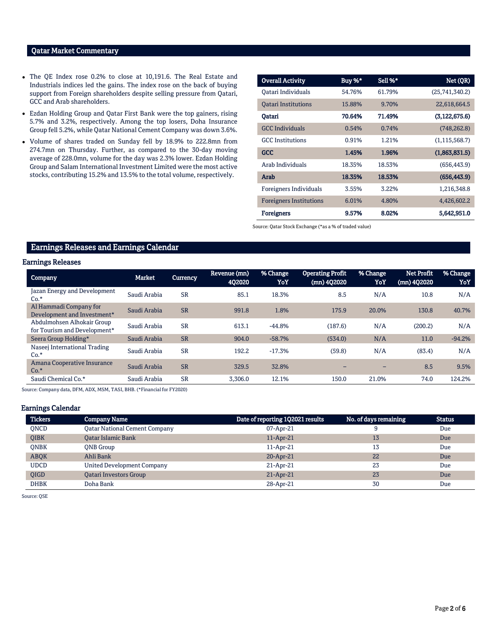## Qatar Market Commentary

- The QE Index rose 0.2% to close at 10,191.6. The Real Estate and Industrials indices led the gains. The index rose on the back of buying support from Foreign shareholders despite selling pressure from Qatari, GCC and Arab shareholders.
- Ezdan Holding Group and Qatar First Bank were the top gainers, rising 5.7% and 3.2%, respectively. Among the top losers, Doha Insurance Group fell 5.2%, while Qatar National Cement Company was down 3.6%.
- Volume of shares traded on Sunday fell by 18.9% to 222.8mn from 274.7mn on Thursday. Further, as compared to the 30-day moving average of 228.0mn, volume for the day was 2.3% lower. Ezdan Holding Group and Salam International Investment Limited were the most active stocks, contributing 15.2% and 13.5% to the total volume, respectively.

| <b>Overall Activity</b>        | Buy %* | Sell %* | Net (QR)        |
|--------------------------------|--------|---------|-----------------|
| Oatari Individuals             | 54.76% | 61.79%  | (25,741,340.2)  |
| <b>Oatari Institutions</b>     | 15.88% | 9.70%   | 22,618,664.5    |
| Oatari                         | 70.64% | 71.49%  | (3, 122, 675.6) |
| <b>GCC Individuals</b>         | 0.54%  | 0.74%   | (748, 262.8)    |
| <b>GCC</b> Institutions        | 0.91%  | 1.21%   | (1, 115, 568.7) |
| <b>GCC</b>                     | 1.45%  | 1.96%   | (1,863,831.5)   |
| Arab Individuals               | 18.35% | 18.53%  | (656, 443.9)    |
| Arab                           | 18.35% | 18.53%  | (656, 443.9)    |
| Foreigners Individuals         | 3.55%  | 3.22%   | 1,216,348.8     |
| <b>Foreigners Institutions</b> | 6.01%  | 4.80%   | 4,426,602.2     |
| <b>Foreigners</b>              | 9.57%  | 8.02%   | 5,642,951.0     |

Source: Qatar Stock Exchange (\*as a % of traded value)

## Earnings Releases and Earnings Calendar

## Earnings Releases

| <b>Company</b>                                             | <b>Market</b> | Currency  | Revenue (mn)<br><b>4Q2020</b> | % Change<br>YoY | <b>Operating Profit</b><br>(mn) 4Q2020 | % Change<br>YoY | <b>Net Profit</b><br>(mn) 402020 | % Change<br>YoY |
|------------------------------------------------------------|---------------|-----------|-------------------------------|-----------------|----------------------------------------|-----------------|----------------------------------|-----------------|
| Jazan Energy and Development<br>$Co.*$                     | Saudi Arabia  | <b>SR</b> | 85.1                          | 18.3%           | 8.5                                    | N/A             | 10.8                             | N/A             |
| Al Hammadi Company for<br>Development and Investment*      | Saudi Arabia  | <b>SR</b> | 991.8                         | 1.8%            | 175.9                                  | 20.0%           | 130.8                            | 40.7%           |
| Abdulmohsen Alhokair Group<br>for Tourism and Development* | Saudi Arabia  | <b>SR</b> | 613.1                         | $-44.8%$        | (187.6)                                | N/A             | (200.2)                          | N/A             |
| Seera Group Holding*                                       | Saudi Arabia  | <b>SR</b> | 904.0                         | $-58.7%$        | (534.0)                                | N/A             | 11.0                             | $-94.2%$        |
| Naseej International Trading<br>$Co.*$                     | Saudi Arabia  | <b>SR</b> | 192.2                         | $-17.3%$        | (59.8)                                 | N/A             | (83.4)                           | N/A             |
| Amana Cooperative Insurance<br>$Co.*$                      | Saudi Arabia  | <b>SR</b> | 329.5                         | 32.8%           |                                        |                 | 8.5                              | 9.5%            |
| Saudi Chemical Co.*                                        | Saudi Arabia  | <b>SR</b> | 3.306.0                       | 12.1%           | 150.0                                  | 21.0%           | 74.0                             | 124.2%          |

Source: Company data, DFM, ADX, MSM, TASI, BHB. (\*Financial for FY2020)

#### Earnings Calendar

| <b>Tickers</b> | <b>Company Name</b>                  | Date of reporting 1Q2021 results | No. of days remaining | <b>Status</b> |
|----------------|--------------------------------------|----------------------------------|-----------------------|---------------|
| <b>ONCD</b>    | <b>Qatar National Cement Company</b> | 07-Apr-21                        |                       | Due           |
| <b>OIBK</b>    | <b>Qatar Islamic Bank</b>            | 11-Apr-21                        | 13                    | Due           |
| <b>ONBK</b>    | QNB Group                            | 11-Apr-21                        | 13                    | Due           |
| <b>ABOK</b>    | Ahli Bank                            | $20$ -Apr-21                     | 22                    | Due           |
| <b>UDCD</b>    | <b>United Development Company</b>    | 21-Apr-21                        | 23                    | Due           |
| <b>OIGD</b>    | <b>Oatari Investors Group</b>        | $21$ -Apr-21                     | 23                    | Due           |
| <b>DHBK</b>    | Doha Bank                            | 28-Apr-21                        | 30                    | Due           |

Source: QSE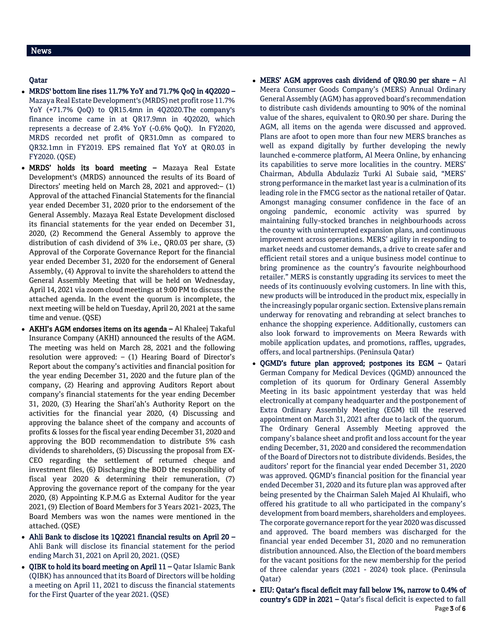## Qatar

- MRDS' bottom line rises 11.7% YoY and 71.7% QoQ in 4Q2020 Mazaya Real Estate Development's (MRDS) net profit rose 11.7% YoY (+71.7% QoQ) to QR15.4mn in 4Q2020.The company's finance income came in at QR17.9mn in 4Q2020, which represents a decrease of 2.4% YoY (-0.6% QoQ). In FY2020, MRDS recorded net profit of QR31.0mn as compared to QR32.1mn in FY2019. EPS remained flat YoY at QR0.03 in FY2020. (QSE)
- MRDS' holds its board meeting Mazaya Real Estate Development's (MRDS) announced the results of its Board of Directors' meeting held on March 28, 2021 and approved:– (1) Approval of the attached Financial Statements for the financial year ended December 31, 2020 prior to the endorsement of the General Assembly. Mazaya Real Estate Development disclosed its financial statements for the year ended on December 31, 2020, (2) Recommend the General Assembly to approve the distribution of cash dividend of 3% i.e., QR0.03 per share, (3) Approval of the Corporate Governance Report for the financial year ended December 31, 2020 for the endorsement of General Assembly, (4) Approval to invite the shareholders to attend the General Assembly Meeting that will be held on Wednesday, April 14, 2021 via zoom cloud meetings at 9:00 PM to discuss the attached agenda. In the event the quorum is incomplete, the next meeting will be held on Tuesday, April 20, 2021 at the same time and venue. (QSE)
- AKHI's AGM endorses items on its agenda Al Khaleej Takaful Insurance Company (AKHI) announced the results of the AGM. The meeting was held on March 28, 2021 and the following resolution were approved: – (1) Hearing Board of Director's Report about the company's activities and financial position for the year ending December 31, 2020 and the future plan of the company, (2) Hearing and approving Auditors Report about company's financial statements for the year ending December 31, 2020, (3) Hearing the Shari'ah's Authority Report on the activities for the financial year 2020, (4) Discussing and approving the balance sheet of the company and accounts of profits & losses for the fiscal year ending December 31, 2020 and approving the BOD recommendation to distribute 5% cash dividends to shareholders, (5) Discussing the proposal from EX-CEO regarding the settlement of returned cheque and investment files, (6) Discharging the BOD the responsibility of fiscal year 2020 & determining their remuneration, (7) Approving the governance report of the company for the year 2020, (8) Appointing K.P.M.G as External Auditor for the year 2021, (9) Election of Board Members for 3 Years 2021- 2023, The Board Members was won the names were mentioned in the attached. (QSE)
- Ahli Bank to disclose its 1Q2021 financial results on April 20 Ahli Bank will disclose its financial statement for the period ending March 31, 2021 on April 20, 2021. (QSE)
- QIBK to hold its board meeting on April 11 Qatar Islamic Bank (QIBK) has announced that its Board of Directors will be holding a meeting on April 11, 2021 to discuss the financial statements for the First Quarter of the year 2021. (QSE)
- MERS' AGM approves cash dividend of QR0.90 per share Al Meera Consumer Goods Company's (MERS) Annual Ordinary General Assembly (AGM) has approved board's recommendation to distribute cash dividends amounting to 90% of the nominal value of the shares, equivalent to QR0.90 per share. During the AGM, all items on the agenda were discussed and approved. Plans are afoot to open more than four new MERS branches as well as expand digitally by further developing the newly launched e-commerce platform, Al Meera Online, by enhancing its capabilities to serve more localities in the country. MERS' Chairman, Abdulla Abdulaziz Turki Al Subaie said, "MERS' strong performance in the market last year is a culmination of its leading role in the FMCG sector as the national retailer of Qatar. Amongst managing consumer confidence in the face of an ongoing pandemic, economic activity was spurred by maintaining fully-stocked branches in neighbourhoods across the county with uninterrupted expansion plans, and continuous improvement across operations. MERS' agility in responding to market needs and customer demands, a drive to create safer and efficient retail stores and a unique business model continue to bring prominence as the country's favourite neighbourhood retailer." MERS is constantly upgrading its services to meet the needs of its continuously evolving customers. In line with this, new products will be introduced in the product mix, especially in the increasingly popular organic section. Extensive plans remain underway for renovating and rebranding at select branches to enhance the shopping experience. Additionally, customers can also look forward to improvements on Meera Rewards with mobile application updates, and promotions, raffles, upgrades, offers, and local partnerships. (Peninsula Qatar)
- QGMD's future plan approved; postpones its EGM Qatari German Company for Medical Devices (QGMD) announced the completion of its quorum for Ordinary General Assembly Meeting in its basic appointment yesterday that was held electronically at company headquarter and the postponement of Extra Ordinary Assembly Meeting (EGM) till the reserved appointment on March 31, 2021 after due to lack of the quorum. The Ordinary General Assembly Meeting approved the company's balance sheet and profit and loss account for the year ending December, 31, 2020 and considered the recommendation of the Board of Directors not to distribute dividends. Besides, the auditors' report for the financial year ended December 31, 2020 was approved. QGMD's financial position for the financial year ended December 31, 2020 and its future plan was approved after being presented by the Chairman Saleh Majed Al Khulaifi, who offered his gratitude to all who participated in the company's development from board members, shareholders and employees. The corporate governance report for the year 2020 was discussed and approved. The board members was discharged for the financial year ended December 31, 2020 and no remuneration distribution announced. Also, the Election of the board members for the vacant positions for the new membership for the period of three calendar years (2021 - 2024) took place. (Peninsula Qatar)
- Page 3 of 6 EIU: Qatar's fiscal deficit may fall below 1%, narrow to 0.4% of country's GDP in 2021 – Qatar's fiscal deficit is expected to fall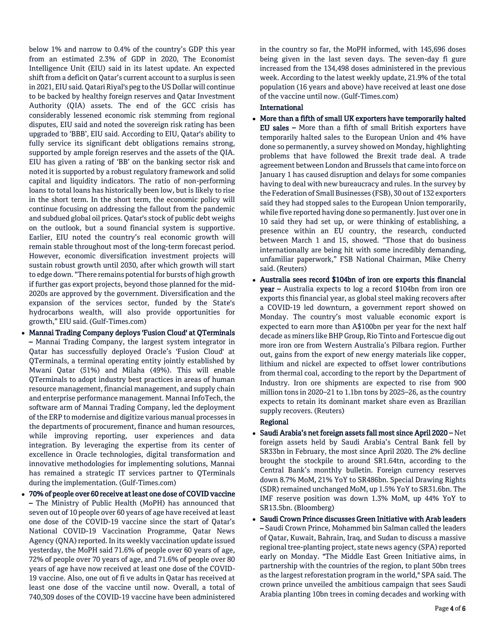below 1% and narrow to 0.4% of the country's GDP this year from an estimated 2.3% of GDP in 2020, The Economist Intelligence Unit (EIU) said in its latest update. An expected shift from a deficit on Qatar's current account to a surplus is seen in 2021, EIU said. Qatari Riyal's peg to the US Dollar will continue to be backed by healthy foreign reserves and Qatar Investment Authority (QIA) assets. The end of the GCC crisis has considerably lessened economic risk stemming from regional disputes, EIU said and noted the sovereign risk rating has been upgraded to 'BBB', EIU said. According to EIU, Qatar's ability to fully service its significant debt obligations remains strong, supported by ample foreign reserves and the assets of the QIA. EIU has given a rating of 'BB' on the banking sector risk and noted it is supported by a robust regulatory framework and solid capital and liquidity indicators. The ratio of non-performing loans to total loans has historically been low, but is likely to rise in the short term. In the short term, the economic policy will continue focusing on addressing the fallout from the pandemic and subdued global oil prices. Qatar's stock of public debt weighs on the outlook, but a sound financial system is supportive. Earlier, EIU noted the country's real economic growth will remain stable throughout most of the long-term forecast period. However, economic diversification investment projects will sustain robust growth until 2030, after which growth will start to edge down. "There remains potential for bursts of high growth if further gas export projects, beyond those planned for the mid-2020s are approved by the government. Diversification and the expansion of the services sector, funded by the State's hydrocarbons wealth, will also provide opportunities for growth," EIU said. (Gulf-Times.com)

- Mannai Trading Company deploys 'Fusion Cloud' at QTerminals – Mannai Trading Company, the largest system integrator in Qatar has successfully deployed Oracle's 'Fusion Cloud' at QTerminals, a terminal operating entity jointly established by Mwani Qatar (51%) and Milaha (49%). This will enable QTerminals to adopt industry best practices in areas of human resource management, financial management, and supply chain and enterprise performance management. Mannai InfoTech, the software arm of Mannai Trading Company, led the deployment of the ERP to modernise and digitize various manual processes in the departments of procurement, finance and human resources, while improving reporting, user experiences and data integration. By leveraging the expertise from its center of excellence in Oracle technologies, digital transformation and innovative methodologies for implementing solutions, Mannai has remained a strategic IT services partner to QTerminals during the implementation. (Gulf-Times.com)
- 70% of people over 60 receive at least one dose of COVID vaccine – The Ministry of Public Health (MoPH) has announced that seven out of 10 people over 60 years of age have received at least one dose of the COVID-19 vaccine since the start of Qatar's National COVID-19 Vaccination Programme, Qatar News Agency (QNA) reported. In its weekly vaccination update issued yesterday, the MoPH said 71.6% of people over 60 years of age, 72% of people over 70 years of age, and 71.6% of people over 80 years of age have now received at least one dose of the COVID-19 vaccine. Also, one out of fi ve adults in Qatar has received at least one dose of the vaccine until now. Overall, a total of 740,309 doses of the COVID-19 vaccine have been administered

in the country so far, the MoPH informed, with 145,696 doses being given in the last seven days. The seven-day fi gure increased from the 134,498 doses administered in the previous week. According to the latest weekly update, 21.9% of the total population (16 years and above) have received at least one dose of the vaccine until now. (Gulf-Times.com)

## International

- More than a fifth of small UK exporters have temporarily halted EU sales – More than a fifth of small British exporters have temporarily halted sales to the European Union and 4% have done so permanently, a survey showed on Monday, highlighting problems that have followed the Brexit trade deal. A trade agreement between London and Brussels that came into force on January 1 has caused disruption and delays for some companies having to deal with new bureaucracy and rules. In the survey by the Federation of Small Businesses (FSB), 30 out of 132 exporters said they had stopped sales to the European Union temporarily, while five reported having done so permanently. Just over one in 10 said they had set up, or were thinking of establishing, a presence within an EU country, the research, conducted between March 1 and 15, showed. "Those that do business internationally are being hit with some incredibly demanding, unfamiliar paperwork," FSB National Chairman, Mike Cherry said. (Reuters)
- Australia sees record \$104bn of iron ore exports this financial year – Australia expects to log a record \$104bn from iron ore exports this financial year, as global steel making recovers after a COVID-19 led downturn, a government report showed on Monday. The country's most valuable economic export is expected to earn more than A\$100bn per year for the next half decade as miners like BHP Group, Rio Tinto and Fortescue dig out more iron ore from Western Australia's Pilbara region. Further out, gains from the export of new energy materials like copper, lithium and nickel are expected to offset lower contributions from thermal coal, according to the report by the Department of Industry. Iron ore shipments are expected to rise from 900 million tons in 2020–21 to 1.1bn tons by 2025–26, as the country expects to retain its dominant market share even as Brazilian supply recovers. (Reuters)

## Regional

- Saudi Arabia's net foreign assets fall most since April 2020 Net foreign assets held by Saudi Arabia's Central Bank fell by SR33bn in February, the most since April 2020. The 2% decline brought the stockpile to around SR1.64tn, according to the Central Bank's monthly bulletin. Foreign currency reserves down 8.7% MoM, 21% YoY to SR486bn. Special Drawing Rights (SDR) remained unchanged MoM, up 1.5% YoY to SR31.6bn. The IMF reserve position was down 1.3% MoM, up 44% YoY to SR13.5bn. (Bloomberg)
- Saudi Crown Prince discusses Green Initiative with Arab leaders – Saudi Crown Prince, Mohammed bin Salman called the leaders of Qatar, Kuwait, Bahrain, Iraq, and Sudan to discuss a massive regional tree-planting project, state news agency (SPA) reported early on Monday. "The Middle East Green Initiative aims, in partnership with the countries of the region, to plant 50bn trees as the largest reforestation program in the world," SPA said. The crown prince unveiled the ambitious campaign that sees Saudi Arabia planting 10bn trees in coming decades and working with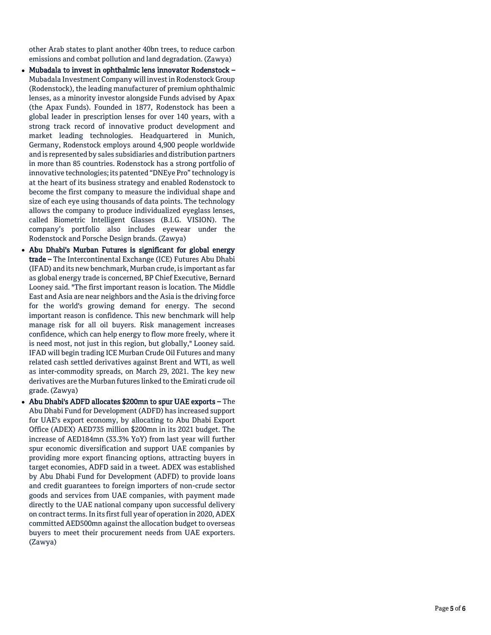other Arab states to plant another 40bn trees, to reduce carbon emissions and combat pollution and land degradation. (Zawya)

- Mubadala to invest in ophthalmic lens innovator Rodenstock Mubadala Investment Company will invest in Rodenstock Group (Rodenstock), the leading manufacturer of premium ophthalmic lenses, as a minority investor alongside Funds advised by Apax (the Apax Funds). Founded in 1877, Rodenstock has been a global leader in prescription lenses for over 140 years, with a strong track record of innovative product development and market leading technologies. Headquartered in Munich, Germany, Rodenstock employs around 4,900 people worldwide and is represented by sales subsidiaries and distribution partners in more than 85 countries. Rodenstock has a strong portfolio of innovative technologies; its patented "DNEye Pro" technology is at the heart of its business strategy and enabled Rodenstock to become the first company to measure the individual shape and size of each eye using thousands of data points. The technology allows the company to produce individualized eyeglass lenses, called Biometric Intelligent Glasses (B.I.G. VISION). The company's portfolio also includes eyewear under the Rodenstock and Porsche Design brands. (Zawya)
- Abu Dhabi's Murban Futures is significant for global energy trade – The Intercontinental Exchange (ICE) Futures Abu Dhabi (IFAD) and its new benchmark, Murban crude, is important as far as global energy trade is concerned, BP Chief Executive, Bernard Looney said. "The first important reason is location. The Middle East and Asia are near neighbors and the Asia is the driving force for the world's growing demand for energy. The second important reason is confidence. This new benchmark will help manage risk for all oil buyers. Risk management increases confidence, which can help energy to flow more freely, where it is need most, not just in this region, but globally," Looney said. IFAD will begin trading ICE Murban Crude Oil Futures and many related cash settled derivatives against Brent and WTI, as well as inter -commodity spreads, on March 29, 2021. The key new derivatives are the Murban futures linked to the Emirati crude oil grade. (Zawya)
- Abu Dhabi's ADFD allocates \$200mn to spur UAE exports The Abu Dhabi Fund for Development (ADFD) has increased support for UAE's export economy, by allocating to Abu Dhabi Export Office (ADEX) AED735 million \$200mn in its 2021 budget. The increase of AED184mn (33.3% YoY) from last year will further spur economic diversification and support UAE companies by providing more export financing options, attracting buyers in target economies, ADFD said in a tweet. ADEX was established by Abu Dhabi Fund for Development (ADFD) to provide loans and credit guarantees to foreign importers of non -crude sector goods and services from UAE companies, with payment made directly to the UAE national company upon successful delivery on contract terms. In its first full year of operation in 2020, ADEX committed AED500mn against the allocation budget to overseas buyers to meet their procurement needs from UAE exporters. (Zawya)